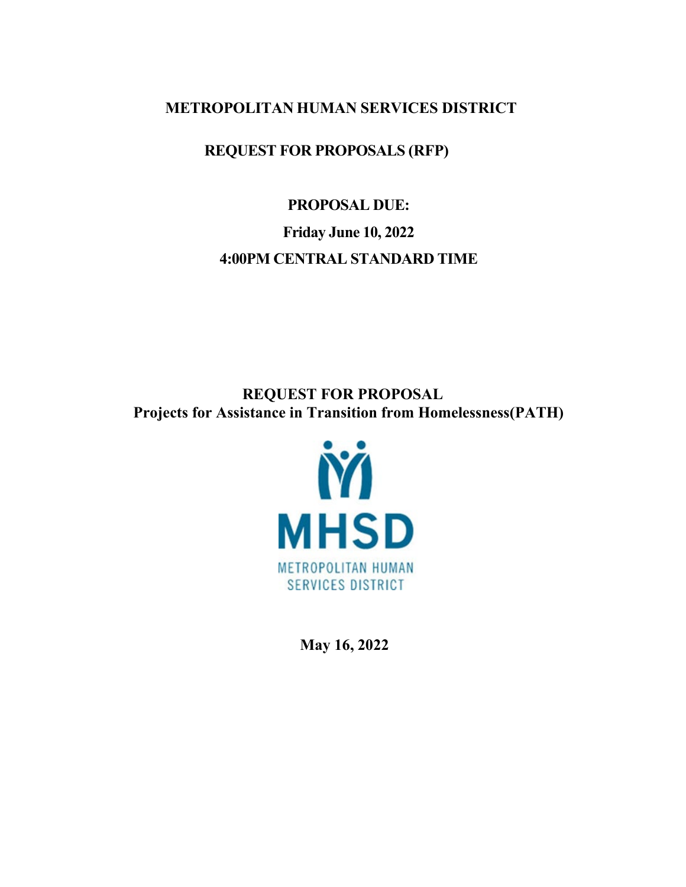# **METROPOLITAN HUMAN SERVICES DISTRICT**

**REQUEST FOR PROPOSALS (RFP)**

**PROPOSAL DUE: Friday June 10, 2022 4:00PM CENTRAL STANDARD TIME** 

**REQUEST FOR PROPOSAL Projects for Assistance in Transition from Homelessness(PATH)**



**May 16, 2022**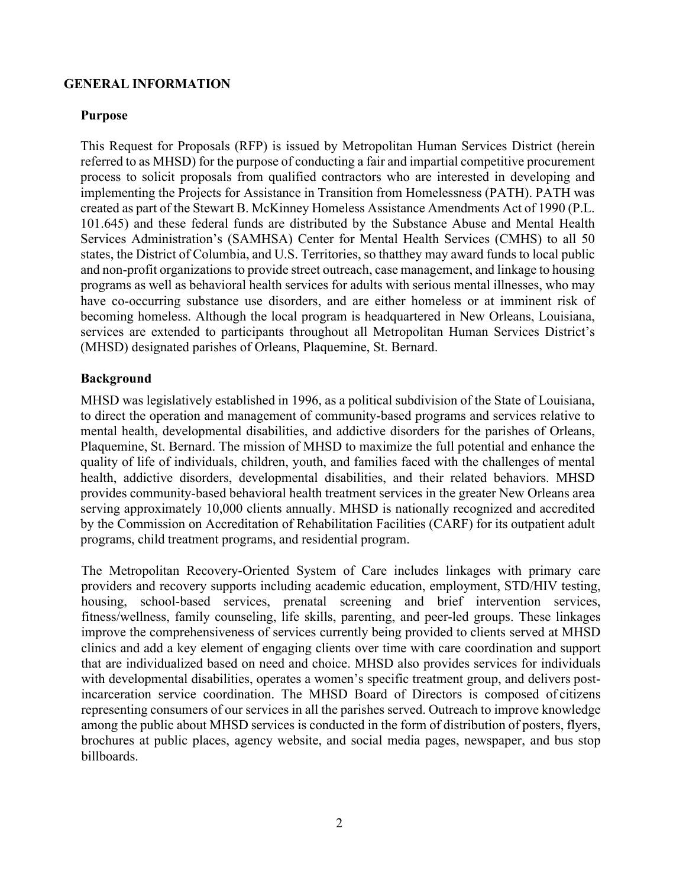### **GENERAL INFORMATION**

#### **Purpose**

This Request for Proposals (RFP) is issued by Metropolitan Human Services District (herein referred to as MHSD) for the purpose of conducting a fair and impartial competitive procurement process to solicit proposals from qualified contractors who are interested in developing and implementing the Projects for Assistance in Transition from Homelessness (PATH). PATH was created as part of the Stewart B. McKinney Homeless Assistance Amendments Act of 1990 (P.L. 101.645) and these federal funds are distributed by the Substance Abuse and Mental Health Services Administration's (SAMHSA) Center for Mental Health Services (CMHS) to all 50 states, the District of Columbia, and U.S. Territories, so thatthey may award funds to local public and non-profit organizations to provide street outreach, case management, and linkage to housing programs as well as behavioral health services for adults with serious mental illnesses, who may have co-occurring substance use disorders, and are either homeless or at imminent risk of becoming homeless. Although the local program is headquartered in New Orleans, Louisiana, services are extended to participants throughout all Metropolitan Human Services District's (MHSD) designated parishes of Orleans, Plaquemine, St. Bernard.

#### **Background**

MHSD was legislatively established in 1996, as a political subdivision of the State of Louisiana, to direct the operation and management of community-based programs and services relative to mental health, developmental disabilities, and addictive disorders for the parishes of Orleans, Plaquemine, St. Bernard. The mission of MHSD to maximize the full potential and enhance the quality of life of individuals, children, youth, and families faced with the challenges of mental health, addictive disorders, developmental disabilities, and their related behaviors. MHSD provides community-based behavioral health treatment services in the greater New Orleans area serving approximately 10,000 clients annually. MHSD is nationally recognized and accredited by the Commission on Accreditation of Rehabilitation Facilities (CARF) for its outpatient adult programs, child treatment programs, and residential program.

The Metropolitan Recovery-Oriented System of Care includes linkages with primary care providers and recovery supports including academic education, employment, STD/HIV testing, housing, school-based services, prenatal screening and brief intervention services, fitness/wellness, family counseling, life skills, parenting, and peer-led groups. These linkages improve the comprehensiveness of services currently being provided to clients served at MHSD clinics and add a key element of engaging clients over time with care coordination and support that are individualized based on need and choice. MHSD also provides services for individuals with developmental disabilities, operates a women's specific treatment group, and delivers postincarceration service coordination. The MHSD Board of Directors is composed of citizens representing consumers of our services in all the parishes served. Outreach to improve knowledge among the public about MHSD services is conducted in the form of distribution of posters, flyers, brochures at public places, agency website, and social media pages, newspaper, and bus stop billboards.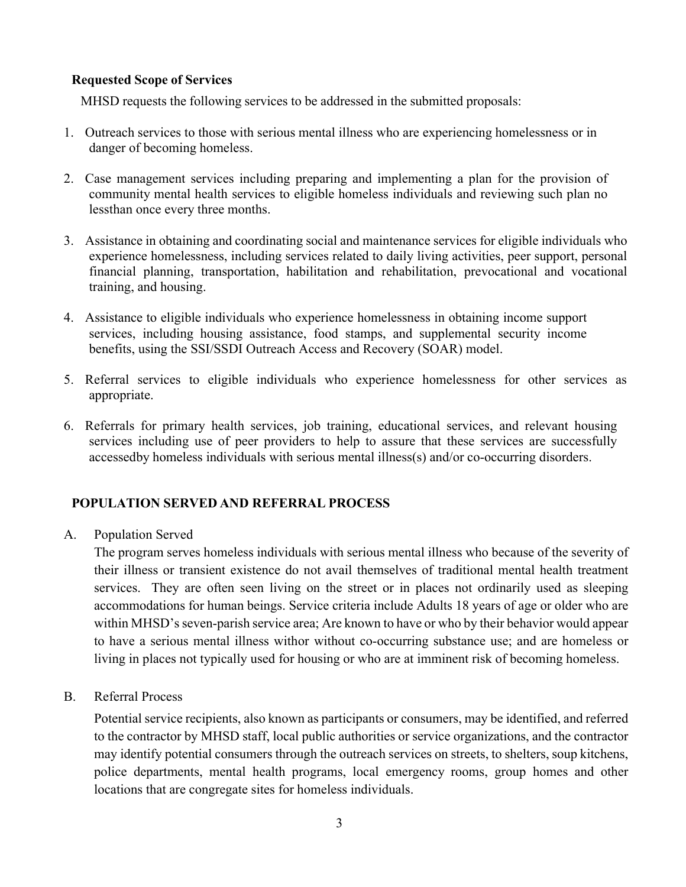## **Requested Scope of Services**

MHSD requests the following services to be addressed in the submitted proposals:

- 1. Outreach services to those with serious mental illness who are experiencing homelessness or in danger of becoming homeless.
- 2. Case management services including preparing and implementing a plan for the provision of community mental health services to eligible homeless individuals and reviewing such plan no lessthan once every three months.
- 3. Assistance in obtaining and coordinating social and maintenance services for eligible individuals who experience homelessness, including services related to daily living activities, peer support, personal financial planning, transportation, habilitation and rehabilitation, prevocational and vocational training, and housing.
- 4. Assistance to eligible individuals who experience homelessness in obtaining income support services, including housing assistance, food stamps, and supplemental security income benefits, using the SSI/SSDI Outreach Access and Recovery (SOAR) model.
- 5. Referral services to eligible individuals who experience homelessness for other services as appropriate.
- 6. Referrals for primary health services, job training, educational services, and relevant housing services including use of peer providers to help to assure that these services are successfully accessedby homeless individuals with serious mental illness(s) and/or co-occurring disorders.

## **POPULATION SERVED AND REFERRAL PROCESS**

## A. Population Served

The program serves homeless individuals with serious mental illness who because of the severity of their illness or transient existence do not avail themselves of traditional mental health treatment services. They are often seen living on the street or in places not ordinarily used as sleeping accommodations for human beings. Service criteria include Adults 18 years of age or older who are within MHSD's seven-parish service area; Are known to have or who by their behavior would appear to have a serious mental illness withor without co-occurring substance use; and are homeless or living in places not typically used for housing or who are at imminent risk of becoming homeless.

B. Referral Process

Potential service recipients, also known as participants or consumers, may be identified, and referred to the contractor by MHSD staff, local public authorities or service organizations, and the contractor may identify potential consumers through the outreach services on streets, to shelters, soup kitchens, police departments, mental health programs, local emergency rooms, group homes and other locations that are congregate sites for homeless individuals.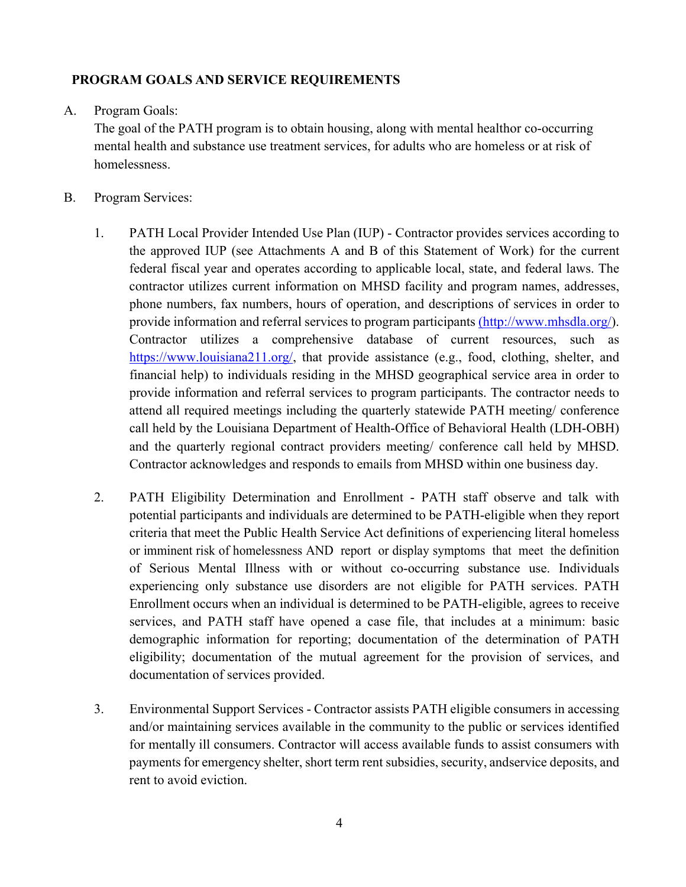## **PROGRAM GOALS AND SERVICE REQUIREMENTS**

A. Program Goals:

The goal of the PATH program is to obtain housing, along with mental health or co-occurring mental health and substance use treatment services, for adults who are homeless or at risk of homelessness.

- B. Program Services:
	- 1. PATH Local Provider Intended Use Plan (IUP) Contractor provides services according to the approved IUP (see Attachments A and B of this Statement of Work) for the current federal fiscal year and operates according to applicable local, state, and federal laws. The contractor utilizes current information on MHSD facility and program names, addresses, phone numbers, fax numbers, hours of operation, and descriptions of services in order to provide information and referral services to program participants (http://www.mhsdla.org/). Contractor utilizes a comprehensive database of current resources, such as [https://www.louisiana211.org/,](https://www.louisiana211.org/) that provide assistance (e.g., food, clothing, shelter, and financial help) to individuals residing in the MHSD geographical service area in order to provide information and referral services to program participants. The contractor needs to attend all required meetings including the quarterly statewide PATH meeting/ conference call held by the Louisiana Department of Health-Office of Behavioral Health (LDH-OBH) and the quarterly regional contract providers meeting/ conference call held by MHSD. Contractor acknowledges and responds to emails from MHSD within one business day.
	- 2. PATH Eligibility Determination and Enrollment PATH staff observe and talk with potential participants and individuals are determined to be PATH-eligible when they report criteria that meet the Public Health Service Act definitions of experiencing literal homeless or imminent risk of homelessness AND report or display symptoms that meet the definition of Serious Mental Illness with or without co-occurring substance use. Individuals experiencing only substance use disorders are not eligible for PATH services. PATH Enrollment occurs when an individual is determined to be PATH-eligible, agrees to receive services, and PATH staff have opened a case file, that includes at a minimum: basic demographic information for reporting; documentation of the determination of PATH eligibility; documentation of the mutual agreement for the provision of services, and documentation of services provided.
	- 3. Environmental Support Services Contractor assists PATH eligible consumers in accessing and/or maintaining services available in the community to the public or services identified for mentally ill consumers. Contractor will access available funds to assist consumers with payments for emergency shelter, short term rent subsidies, security, and service deposits, and rent to avoid eviction.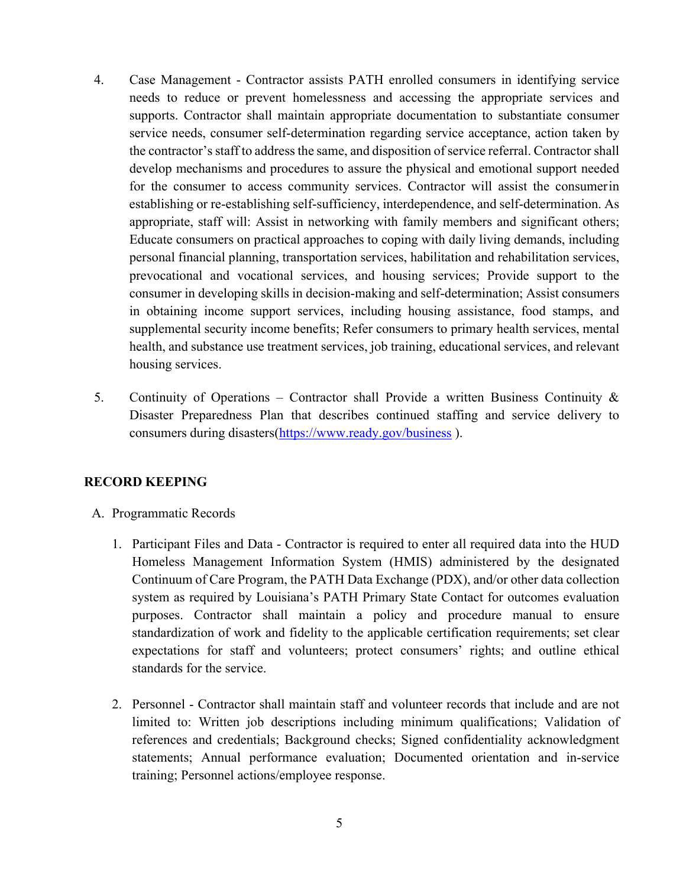- 4. Case Management Contractor assists PATH enrolled consumers in identifying service needs to reduce or prevent homelessness and accessing the appropriate services and supports. Contractor shall maintain appropriate documentation to substantiate consumer service needs, consumer self-determination regarding service acceptance, action taken by the contractor's staff to address the same, and disposition of service referral. Contractor shall develop mechanisms and procedures to assure the physical and emotional support needed for the consumer to access community services. Contractor will assist the consumerin establishing or re-establishing self-sufficiency, interdependence, and self-determination. As appropriate, staff will: Assist in networking with family members and significant others; Educate consumers on practical approaches to coping with daily living demands, including personal financial planning, transportation services, habilitation and rehabilitation services, prevocational and vocational services, and housing services; Provide support to the consumer in developing skills in decision-making and self-determination; Assist consumers in obtaining income support services, including housing assistance, food stamps, and supplemental security income benefits; Refer consumers to primary health services, mental health, and substance use treatment services, job training, educational services, and relevant housing services.
- 5. Continuity of Operations Contractor shall Provide a written Business Continuity & Disaster Preparedness Plan that describes continued staffing and service delivery to consumers during disasters (https://www.ready.gov/business).

### **RECORD KEEPING**

- A. Programmatic Records
	- 1. Participant Files and Data Contractor is required to enter all required data into the HUD Homeless Management Information System (HMIS) administered by the designated Continuum of Care Program, the PATH Data Exchange (PDX), and/or other data collection system as required by Louisiana's PATH Primary State Contact for outcomes evaluation purposes. Contractor shall maintain a policy and procedure manual to ensure standardization of work and fidelity to the applicable certification requirements; set clear expectations for staff and volunteers; protect consumers' rights; and outline ethical standards for the service.
	- 2. Personnel Contractor shall maintain staff and volunteer records that include and are not limited to: Written job descriptions including minimum qualifications; Validation of references and credentials; Background checks; Signed confidentiality acknowledgment statements; Annual performance evaluation; Documented orientation and in-service training; Personnel actions/employee response.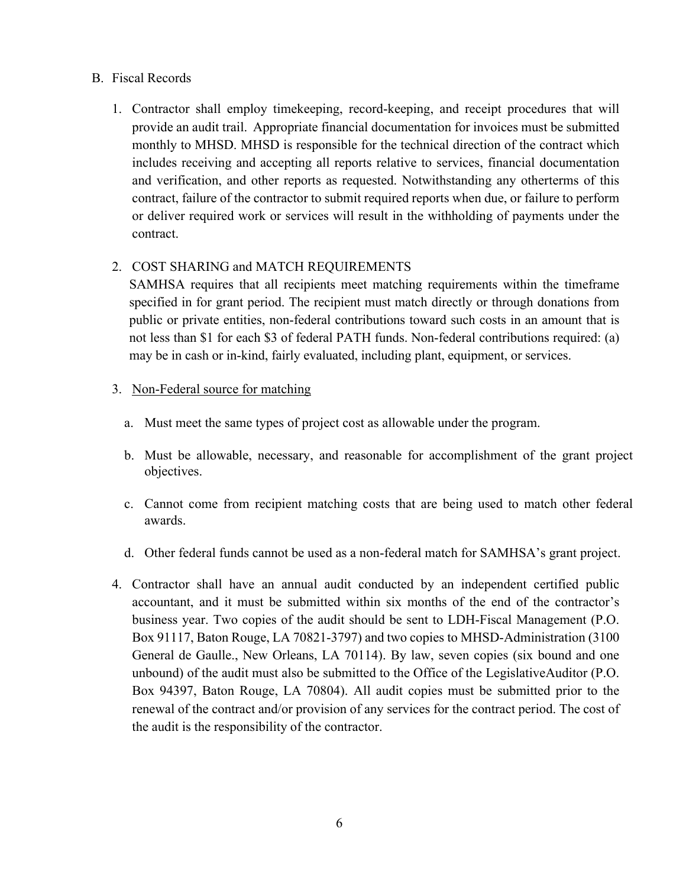## B. Fiscal Records

1. Contractor shall employ timekeeping, record-keeping, and receipt procedures that will provide an audit trail. Appropriate financial documentation for invoices must be submitted monthly to MHSD. MHSD is responsible for the technical direction of the contract which includes receiving and accepting all reports relative to services, financial documentation and verification, and other reports as requested. Notwithstanding any otherterms of this contract, failure of the contractor to submit required reports when due, or failure to perform or deliver required work or services will result in the withholding of payments under the contract.

# 2. COST SHARING and MATCH REQUIREMENTS

SAMHSA requires that all recipients meet matching requirements within the timeframe specified in for grant period. The recipient must match directly or through donations from public or private entities, non-federal contributions toward such costs in an amount that is not less than \$1 for each \$3 of federal PATH funds. Non-federal contributions required: (a) may be in cash or in-kind, fairly evaluated, including plant, equipment, or services.

## 3. Non-Federal source for matching

- a. Must meet the same types of project cost as allowable under the program.
- b. Must be allowable, necessary, and reasonable for accomplishment of the grant project objectives.
- c. Cannot come from recipient matching costs that are being used to match other federal awards.
- d. Other federal funds cannot be used as a non-federal match for SAMHSA's grant project.
- 4. Contractor shall have an annual audit conducted by an independent certified public accountant, and it must be submitted within six months of the end of the contractor's business year. Two copies of the audit should be sent to LDH-Fiscal Management (P.O. Box 91117, Baton Rouge, LA 70821-3797) and two copies to MHSD-Administration (3100 General de Gaulle., New Orleans, LA 70114). By law, seven copies (six bound and one unbound) of the audit must also be submitted to the Office of the LegislativeAuditor (P.O. Box 94397, Baton Rouge, LA 70804). All audit copies must be submitted prior to the renewal of the contract and/or provision of any services for the contract period. The cost of the audit is the responsibility of the contractor.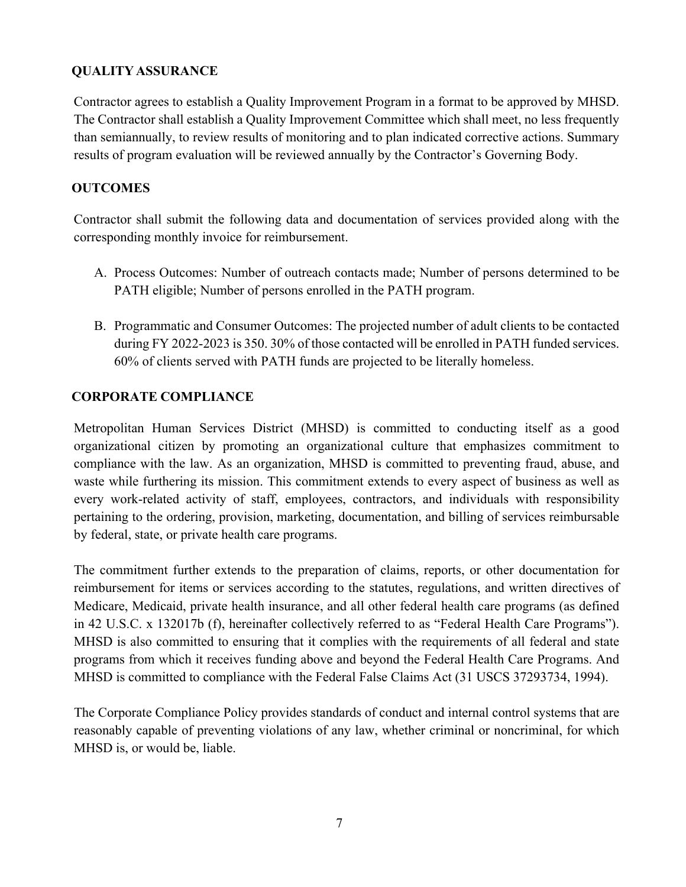# **QUALITYASSURANCE**

Contractor agrees to establish a Quality Improvement Program in a format to be approved by MHSD. The Contractor shall establish a Quality Improvement Committee which shall meet, no less frequently than semiannually, to review results of monitoring and to plan indicated corrective actions. Summary results of program evaluation will be reviewed annually by the Contractor's Governing Body.

## **OUTCOMES**

Contractor shall submit the following data and documentation of services provided along with the corresponding monthly invoice for reimbursement.

- A. Process Outcomes: Number of outreach contacts made; Number of persons determined to be PATH eligible; Number of persons enrolled in the PATH program.
- B. Programmatic and Consumer Outcomes: The projected number of adult clients to be contacted during FY 2022-2023 is 350. 30% of those contacted will be enrolled in PATH funded services. 60% of clients served with PATH funds are projected to be literally homeless.

# **CORPORATE COMPLIANCE**

Metropolitan Human Services District (MHSD) is committed to conducting itself as a good organizational citizen by promoting an organizational culture that emphasizes commitment to compliance with the law. As an organization, MHSD is committed to preventing fraud, abuse, and waste while furthering its mission. This commitment extends to every aspect of business as well as every work-related activity of staff, employees, contractors, and individuals with responsibility pertaining to the ordering, provision, marketing, documentation, and billing of services reimbursable by federal, state, or private health care programs.

The commitment further extends to the preparation of claims, reports, or other documentation for reimbursement for items or services according to the statutes, regulations, and written directives of Medicare, Medicaid, private health insurance, and all other federal health care programs (as defined in 42 U.S.C. x 132017b (f), hereinafter collectively referred to as "Federal Health Care Programs"). MHSD is also committed to ensuring that it complies with the requirements of all federal and state programs from which it receives funding above and beyond the Federal Health Care Programs. And MHSD is committed to compliance with the Federal False Claims Act (31 USCS 37293734, 1994).

The Corporate Compliance Policy provides standards of conduct and internal control systems that are reasonably capable of preventing violations of any law, whether criminal or noncriminal, for which MHSD is, or would be, liable.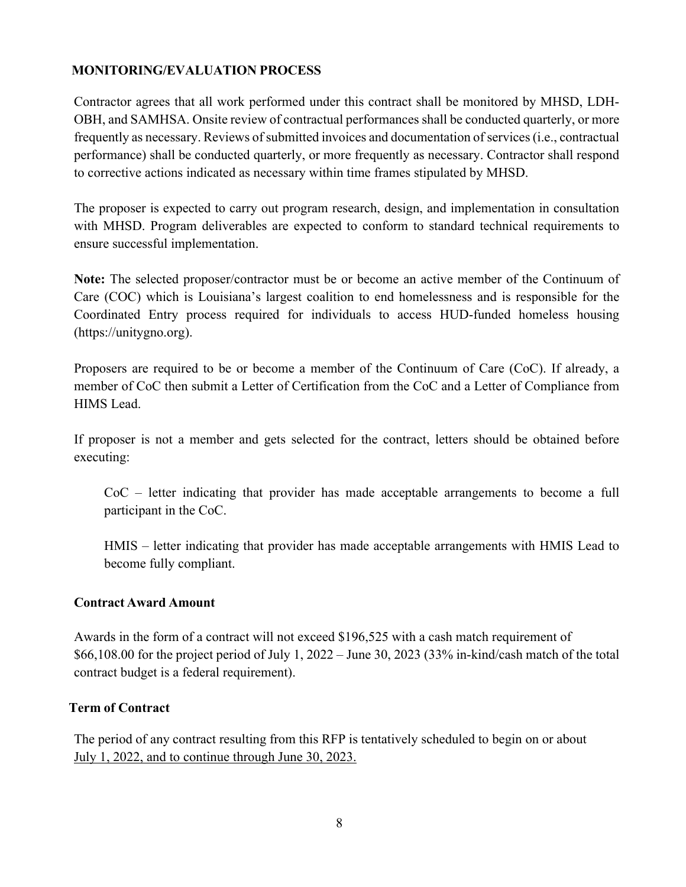## **MONITORING/EVALUATION PROCESS**

Contractor agrees that all work performed under this contract shall be monitored by MHSD, LDH-OBH, and SAMHSA. Onsite review of contractual performances shall be conducted quarterly, or more frequently as necessary. Reviews of submitted invoices and documentation of services (i.e., contractual performance) shall be conducted quarterly, or more frequently as necessary. Contractor shall respond to corrective actions indicated as necessary within time frames stipulated by MHSD.

The proposer is expected to carry out program research, design, and implementation in consultation with MHSD. Program deliverables are expected to conform to standard technical requirements to ensure successful implementation.

**Note:** The selected proposer/contractor must be or become an active member of the Continuum of Care (COC) which is Louisiana's largest coalition to end homelessness and is responsible for the Coordinated Entry process required for individuals to access HUD-funded homeless housing (https://unitygno.org).

Proposers are required to be or become a member of the Continuum of Care (CoC). If already, a member of CoC then submit a Letter of Certification from the CoC and a Letter of Compliance from HIMS Lead.

If proposer is not a member and gets selected for the contract, letters should be obtained before executing:

CoC – letter indicating that provider has made acceptable arrangements to become a full participant in the CoC.

HMIS – letter indicating that provider has made acceptable arrangements with HMIS Lead to become fully compliant.

## **Contract Award Amount**

Awards in the form of a contract will not exceed \$196,525 with a cash match requirement of \$66,108.00 for the project period of July 1, 2022 – June 30, 2023 (33% in-kind/cash match of the total contract budget is a federal requirement).

## **Term of Contract**

The period of any contract resulting from this RFP is tentatively scheduled to begin on or about July 1, 2022, and to continue through June 30, 2023.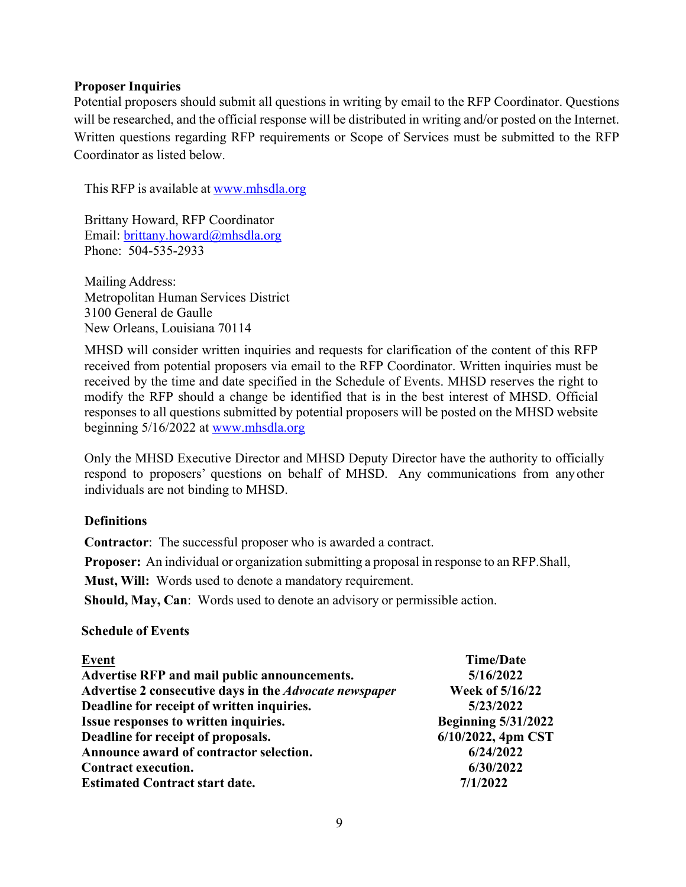### **Proposer Inquiries**

Potential proposers should submit all questions in writing by email to the RFP Coordinator. Questions will be researched, and the official response will be distributed in writing and/or posted on the Internet. Written questions regarding RFP requirements or Scope of Services must be submitted to the RFP Coordinator as listed below.

This RFP is available at <u>[www.mhsdla.org](http://www.mhsdla.org/)</u>

Brittany Howard, RFP Coordinator Email: [brittany.howard@mhsdla.org](mailto:brittany.howard@mhsdla.org)  Phone: 504-535-2933

Mailing Address: Metropolitan Human Services District 3100 General de Gaulle New Orleans, Louisiana 70114

MHSD will consider written inquiries and requests for clarification of the content of this RFP received from potential proposers via email to the RFP Coordinator. Written inquiries must be received by the time and date specified in the Schedule of Events. MHSD reserves the right to modify the RFP should a change be identified that is in the best interest of MHSD. Official responses to all questions submitted by potential proposers will be posted on the MHSD website beginning 5/16/2022 at [www.mhsdla.org](http://www.mhsdla.org/)

Only the MHSD Executive Director and MHSD Deputy Director have the authority to officially respond to proposers' questions on behalf of MHSD. Any communications from any other individuals are not binding to MHSD.

### **Definitions**

**Contractor**: The successful proposer who is awarded a contract.

**Proposer:** An individual or organization submitting a proposal in response to an RFP.Shall,

**Must, Will:** Words used to denote a mandatory requirement.

**Should, May, Can**: Words used to denote an advisory or permissible action.

#### **Schedule of Events**

| <b>Event</b>                                           | <b>Time/Date</b>           |
|--------------------------------------------------------|----------------------------|
| <b>Advertise RFP and mail public announcements.</b>    | 5/16/2022                  |
| Advertise 2 consecutive days in the Advocate newspaper | <b>Week of 5/16/22</b>     |
| Deadline for receipt of written inquiries.             | 5/23/2022                  |
| Issue responses to written inquiries.                  | <b>Beginning 5/31/2022</b> |
| Deadline for receipt of proposals.                     | $6/10/2022$ , 4pm CST      |
| Announce award of contractor selection.                | 6/24/2022                  |
| <b>Contract execution.</b>                             | 6/30/2022                  |
| <b>Estimated Contract start date.</b>                  | 7/1/2022                   |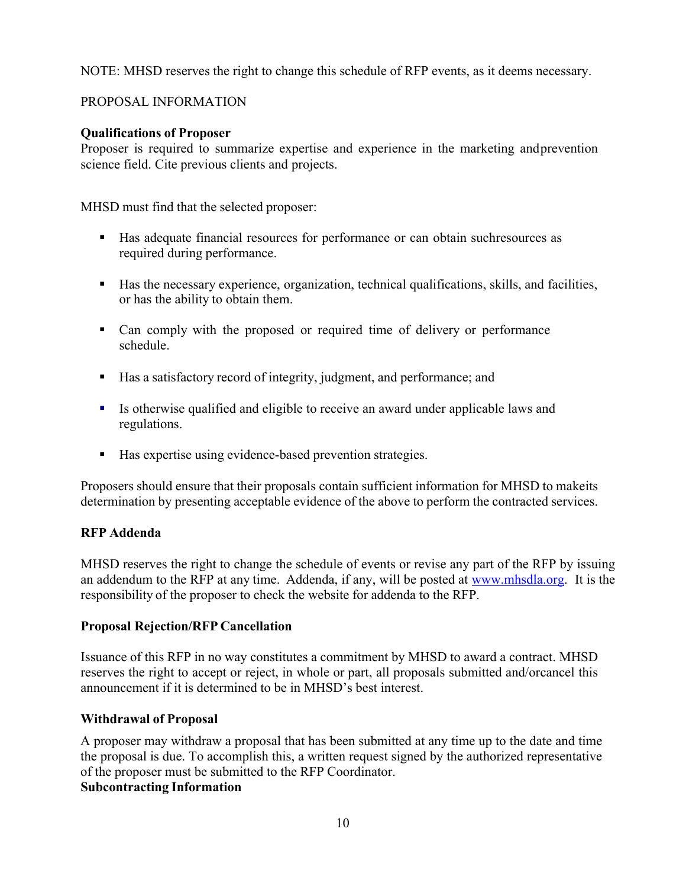NOTE: MHSD reserves the right to change this schedule of RFP events, as it deems necessary.

## PROPOSAL INFORMATION

## **Qualifications of Proposer**

Proposer is required to summarize expertise and experience in the marketing and prevention science field. Cite previous clients and projects.

MHSD must find that the selected proposer:

- Has adequate financial resources for performance or can obtain suchresources as required during performance.
- Has the necessary experience, organization, technical qualifications, skills, and facilities, or has the ability to obtain them.
- Can comply with the proposed or required time of delivery or performance schedule.
- Has a satisfactory record of integrity, judgment, and performance; and
- Is otherwise qualified and eligible to receive an award under applicable laws and regulations.
- Has expertise using evidence-based prevention strategies.

Proposers should ensure that their proposals contain sufficient information for MHSD to make its determination by presenting acceptable evidence of the above to perform the contracted services.

## **RFP Addenda**

MHSD reserves the right to change the schedule of events or revise any part of the RFP by issuing an addendum to the RFP at any time. Addenda, if any, will be posted at [www.mhsdla.org.](http://www.mhsdla.org/) It is the responsibility of the proposer to check the website for addenda to the RFP.

### **Proposal Rejection/RFP Cancellation**

Issuance of this RFP in no way constitutes a commitment by MHSD to award a contract. MHSD reserves the right to accept or reject, in whole or part, all proposals submitted and/orcancel this announcement if it is determined to be in MHSD's best interest.

### **Withdrawal of Proposal**

A proposer may withdraw a proposal that has been submitted at any time up to the date and time the proposal is due. To accomplish this, a written request signed by the authorized representative of the proposer must be submitted to the RFP Coordinator.

## **Subcontracting Information**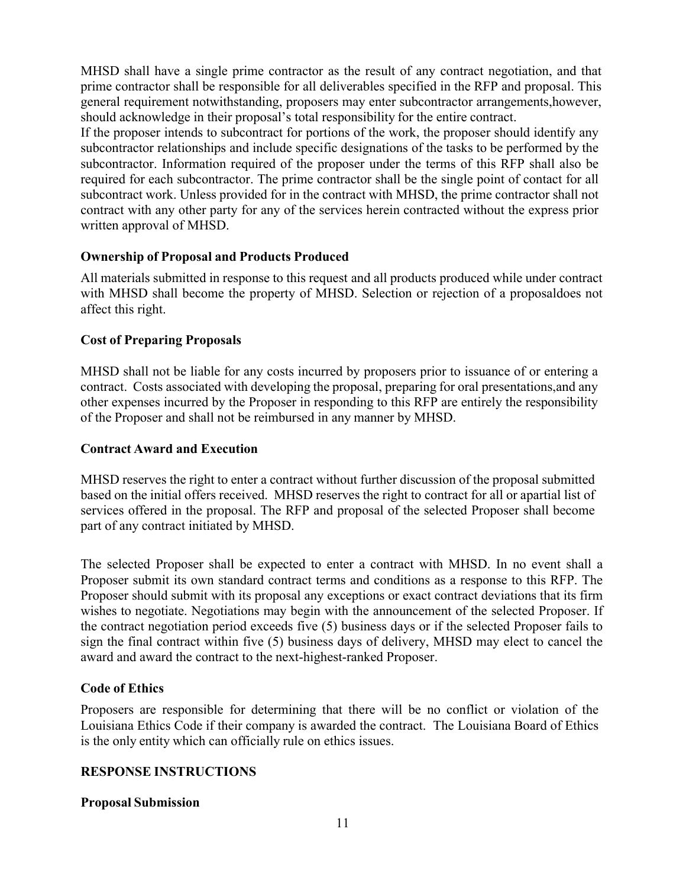MHSD shall have a single prime contractor as the result of any contract negotiation, and that prime contractor shall be responsible for all deliverables specified in the RFP and proposal. This general requirement notwithstanding, proposers may enter subcontractor arrangements,however, should acknowledge in their proposal's total responsibility for the entire contract.

If the proposer intends to subcontract for portions of the work, the proposer should identify any subcontractor relationships and include specific designations of the tasks to be performed by the subcontractor. Information required of the proposer under the terms of this RFP shall also be required for each subcontractor. The prime contractor shall be the single point of contact for all subcontract work. Unless provided for in the contract with MHSD, the prime contractor shall not contract with any other party for any of the services herein contracted without the express prior written approval of MHSD.

### **Ownership of Proposal and Products Produced**

All materials submitted in response to this request and all products produced while under contract with MHSD shall become the property of MHSD. Selection or rejection of a proposaldoes not affect this right.

### **Cost of Preparing Proposals**

MHSD shall not be liable for any costs incurred by proposers prior to issuance of or entering a contract. Costs associated with developing the proposal, preparing for oral presentations,and any other expenses incurred by the Proposer in responding to this RFP are entirely the responsibility of the Proposer and shall not be reimbursed in any manner by MHSD.

#### **Contract Award and Execution**

MHSD reserves the right to enter a contract without further discussion of the proposal submitted based on the initial offers received. MHSD reserves the right to contract for all or apartial list of services offered in the proposal. The RFP and proposal of the selected Proposer shall become part of any contract initiated by MHSD.

The selected Proposer shall be expected to enter a contract with MHSD. In no event shall a Proposer submit its own standard contract terms and conditions as a response to this RFP. The Proposer should submit with its proposal any exceptions or exact contract deviations that its firm wishes to negotiate. Negotiations may begin with the announcement of the selected Proposer. If the contract negotiation period exceeds five (5) business days or if the selected Proposer fails to sign the final contract within five (5) business days of delivery, MHSD may elect to cancel the award and award the contract to the next-highest-ranked Proposer.

### **Code of Ethics**

Proposers are responsible for determining that there will be no conflict or violation of the Louisiana Ethics Code if their company is awarded the contract. The Louisiana Board of Ethics is the only entity which can officially rule on ethics issues.

### **RESPONSE INSTRUCTIONS**

#### **Proposal Submission**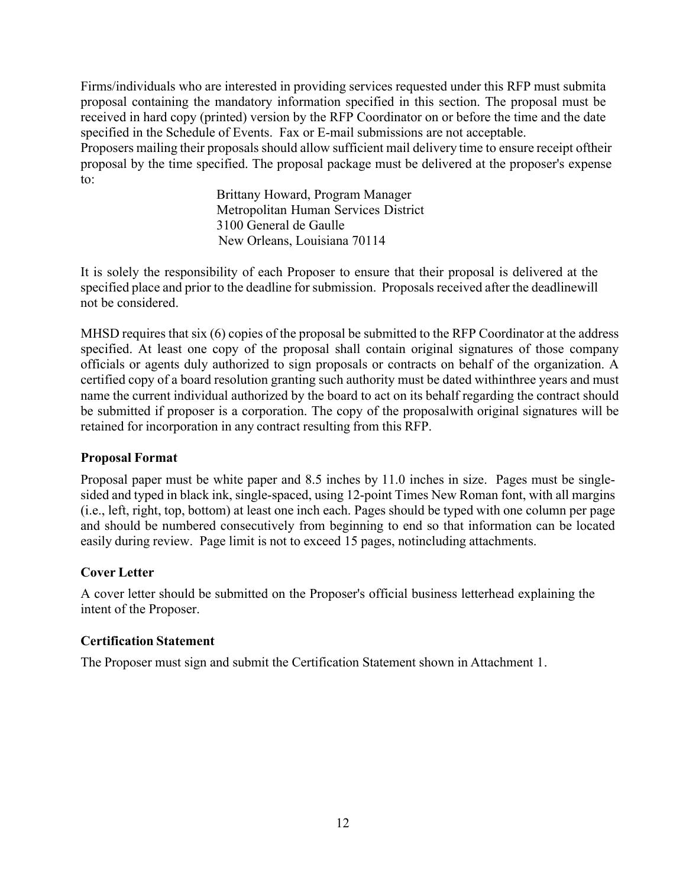Firms/individuals who are interested in providing services requested under this RFP must submita proposal containing the mandatory information specified in this section. The proposal must be received in hard copy (printed) version by the RFP Coordinator on or before the time and the date specified in the Schedule of Events. Fax or E-mail submissions are not acceptable.

Proposers mailing their proposals should allow sufficient mail delivery time to ensure receipt oftheir proposal by the time specified. The proposal package must be delivered at the proposer's expense to:

> Brittany Howard, Program Manager Metropolitan Human Services District 3100 General de Gaulle New Orleans, Louisiana 70114

It is solely the responsibility of each Proposer to ensure that their proposal is delivered at the specified place and prior to the deadline for submission. Proposals received after the deadlinewill not be considered.

MHSD requires that six (6) copies of the proposal be submitted to the RFP Coordinator at the address specified. At least one copy of the proposal shall contain original signatures of those company officials or agents duly authorized to sign proposals or contracts on behalf of the organization. A certified copy of a board resolution granting such authority must be dated withinthree years and must name the current individual authorized by the board to act on its behalf regarding the contract should be submitted if proposer is a corporation. The copy of the proposalwith original signatures will be retained for incorporation in any contract resulting from this RFP.

## **Proposal Format**

Proposal paper must be white paper and 8.5 inches by 11.0 inches in size. Pages must be singlesided and typed in black ink, single-spaced, using 12-point Times New Roman font, with all margins (i.e., left, right, top, bottom) at least one inch each. Pages should be typed with one column per page and should be numbered consecutively from beginning to end so that information can be located easily during review. Page limit is not to exceed 15 pages, notincluding attachments.

## **Cover Letter**

A cover letter should be submitted on the Proposer's official business letterhead explaining the intent of the Proposer.

### **Certification Statement**

The Proposer must sign and submit the Certification Statement shown in Attachment 1.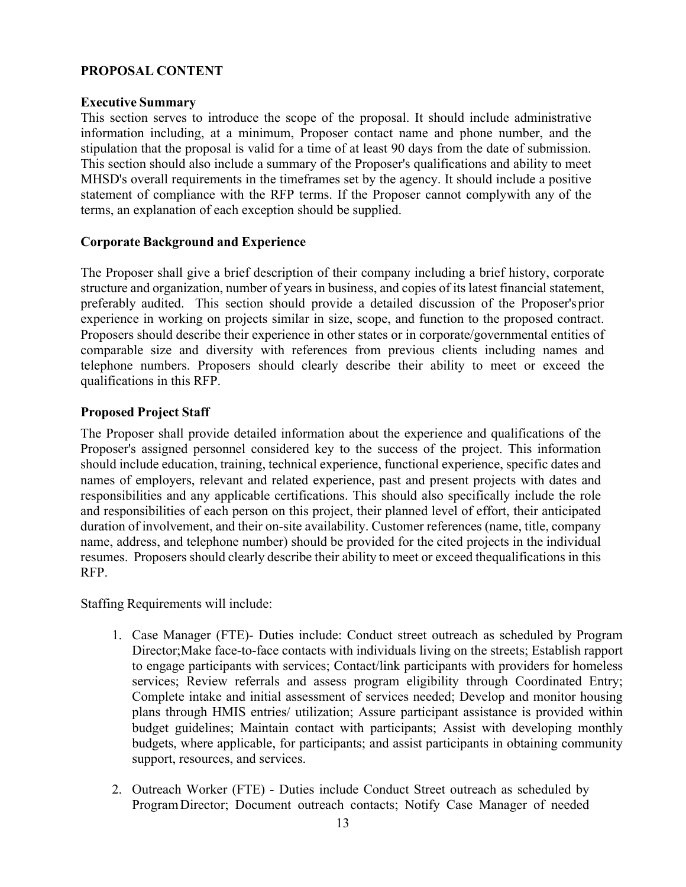### **PROPOSAL CONTENT**

### **Executive Summary**

This section serves to introduce the scope of the proposal. It should include administrative information including, at a minimum, Proposer contact name and phone number, and the stipulation that the proposal is valid for a time of at least 90 days from the date of submission. This section should also include a summary of the Proposer's qualifications and ability to meet MHSD's overall requirements in the timeframes set by the agency. It should include a positive statement of compliance with the RFP terms. If the Proposer cannot complywith any of the terms, an explanation of each exception should be supplied.

### **Corporate Background and Experience**

The Proposer shall give a brief description of their company including a brief history, corporate structure and organization, number of years in business, and copies of its latest financial statement, preferably audited. This section should provide a detailed discussion of the Proposer'sprior experience in working on projects similar in size, scope, and function to the proposed contract. Proposers should describe their experience in other states or in corporate/governmental entities of comparable size and diversity with references from previous clients including names and telephone numbers. Proposers should clearly describe their ability to meet or exceed the qualifications in this RFP.

## **Proposed Project Staff**

The Proposer shall provide detailed information about the experience and qualifications of the Proposer's assigned personnel considered key to the success of the project. This information should include education, training, technical experience, functional experience, specific dates and names of employers, relevant and related experience, past and present projects with dates and responsibilities and any applicable certifications. This should also specifically include the role and responsibilities of each person on this project, their planned level of effort, their anticipated duration of involvement, and their on-site availability. Customer references (name, title, company name, address, and telephone number) should be provided for the cited projects in the individual resumes. Proposers should clearly describe their ability to meet or exceed thequalifications in this RFP.

Staffing Requirements will include:

- 1. Case Manager (FTE)- Duties include: Conduct street outreach as scheduled by Program Director;Make face-to-face contacts with individuals living on the streets; Establish rapport to engage participants with services; Contact/link participants with providers for homeless services; Review referrals and assess program eligibility through Coordinated Entry; Complete intake and initial assessment of services needed; Develop and monitor housing plans through HMIS entries/ utilization; Assure participant assistance is provided within budget guidelines; Maintain contact with participants; Assist with developing monthly budgets, where applicable, for participants; and assist participants in obtaining community support, resources, and services.
- 2. Outreach Worker (FTE) Duties include Conduct Street outreach as scheduled by ProgramDirector; Document outreach contacts; Notify Case Manager of needed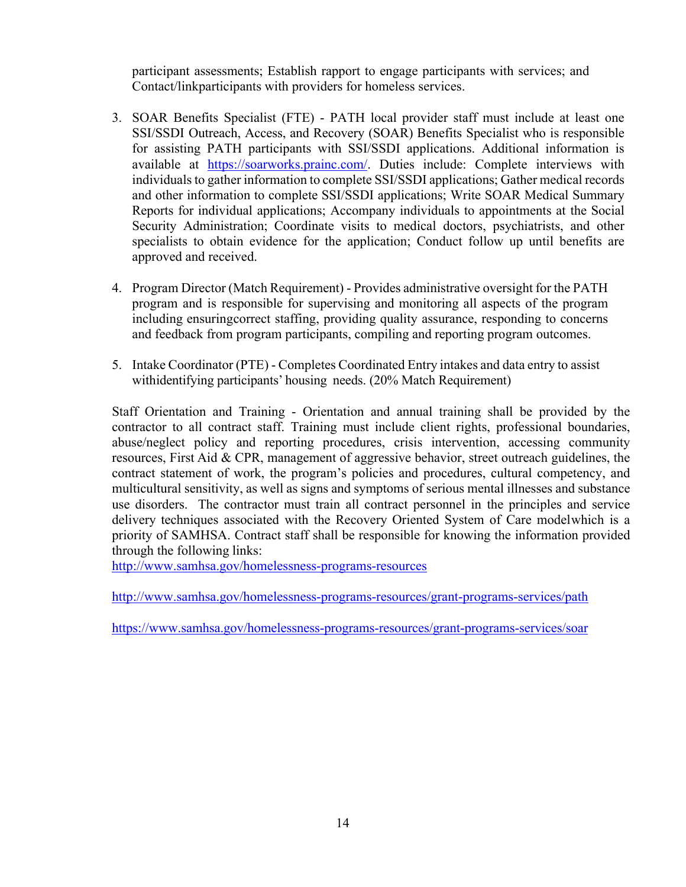participant assessments; Establish rapport to engage participants with services; and Contact/linkparticipants with providers for homeless services.

- 3. SOAR Benefits Specialist (FTE) PATH local provider staff must include at least one SSI/SSDI Outreach, Access, and Recovery (SOAR) Benefits Specialist who is responsible for assisting PATH participants with SSI/SSDI applications. Additional information is available at [https://soarworks.prainc.com/.](https://soarworks.prainc.com/) Duties include: Complete interviews with individuals to gather information to complete SSI/SSDI applications; Gather medical records and other information to complete SSI/SSDI applications; Write SOAR Medical Summary Reports for individual applications; Accompany individuals to appointments at the Social Security Administration; Coordinate visits to medical doctors, psychiatrists, and other specialists to obtain evidence for the application; Conduct follow up until benefits are approved and received.
- 4. Program Director (Match Requirement) Provides administrative oversight for the PATH program and is responsible for supervising and monitoring all aspects of the program including ensuring correct staffing, providing quality assurance, responding to concerns and feedback from program participants, compiling and reporting program outcomes.
- 5. Intake Coordinator (PTE) Completes Coordinated Entry intakes and data entry to assist withidentifying participants' housing needs. (20% Match Requirement)

Staff Orientation and Training - Orientation and annual training shall be provided by the contractor to all contract staff. Training must include client rights, professional boundaries, abuse/neglect policy and reporting procedures, crisis intervention, accessing community resources, First Aid & CPR, management of aggressive behavior, street outreach guidelines, the contract statement of work, the program's policies and procedures, cultural competency, and multicultural sensitivity, as well as signs and symptoms of serious mental illnesses and substance use disorders. The contractor must train all contract personnel in the principles and service delivery techniques associated with the Recovery Oriented System of Care model which is a priority of SAMHSA. Contract staff shall be responsible for knowing the information provided through the following links:

[http://www.](http://www.samhsa.gov/homelessness-programs-resources)samhsa.gov/homelessness[-programs-resources](http://www.samhsa.gov/homelessness-programs-resources/grant-programs-services/path)

[http://www.](https://www.samhsa.gov/homelessness-programs-resources/grant-programs-services/soar)samhsa.gov/homelessness-programs-resources/grant-programs-services/path

[https://www.samhsa.gov/homelessness-pr](http://www.samhsa.gov/homelessness-programs-resources/grant-programs-services/soar)ogram[s-resources/grant-programs-services/soar](http://www.samhsa.gov/homelessness-programs-resources/grant-programs-services/soar)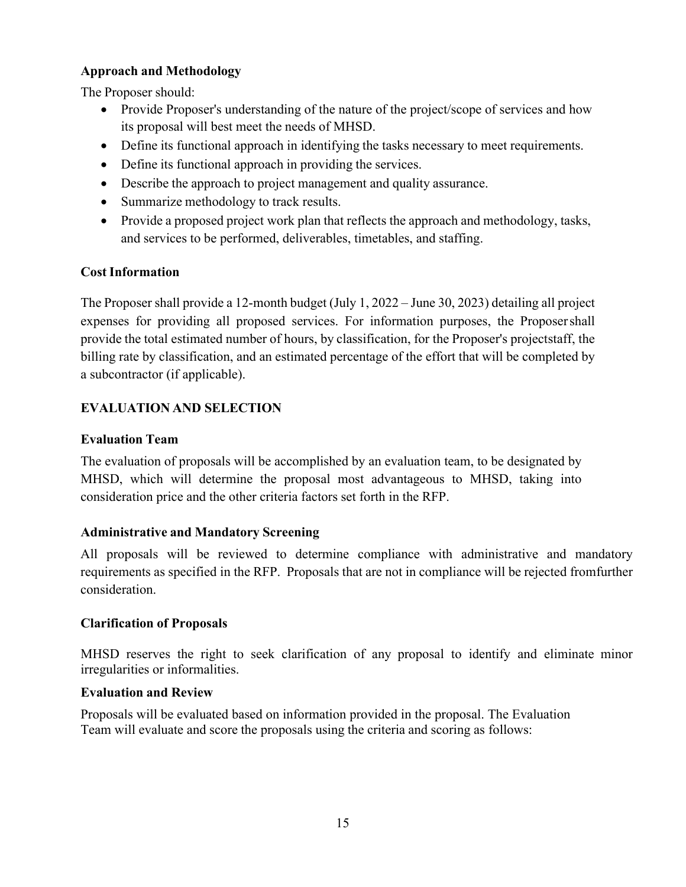# **Approach and Methodology**

The Proposer should:

- Provide Proposer's understanding of the nature of the project/scope of services and how its proposal will best meet the needs of MHSD.
- Define its functional approach in identifying the tasks necessary to meet requirements.
- Define its functional approach in providing the services.
- Describe the approach to project management and quality assurance.
- Summarize methodology to track results.
- Provide a proposed project work plan that reflects the approach and methodology, tasks, and services to be performed, deliverables, timetables, and staffing.

# **Cost Information**

The Proposer shall provide a 12-month budget (July 1, 2022 – June 30, 2023) detailing all project expenses for providing all proposed services. For information purposes, the Proposershall provide the total estimated number of hours, by classification, for the Proposer's projectstaff, the billing rate by classification, and an estimated percentage of the effort that will be completed by a subcontractor (if applicable).

# **EVALUATION AND SELECTION**

# **Evaluation Team**

The evaluation of proposals will be accomplished by an evaluation team, to be designated by MHSD, which will determine the proposal most advantageous to MHSD, taking into consideration price and the other criteria factors set forth in the RFP.

# **Administrative and Mandatory Screening**

All proposals will be reviewed to determine compliance with administrative and mandatory requirements as specified in the RFP. Proposals that are not in compliance will be rejected fromfurther consideration.

# **Clarification of Proposals**

MHSD reserves the right to seek clarification of any proposal to identify and eliminate minor irregularities or informalities.

## **Evaluation and Review**

Proposals will be evaluated based on information provided in the proposal. The Evaluation Team will evaluate and score the proposals using the criteria and scoring as follows: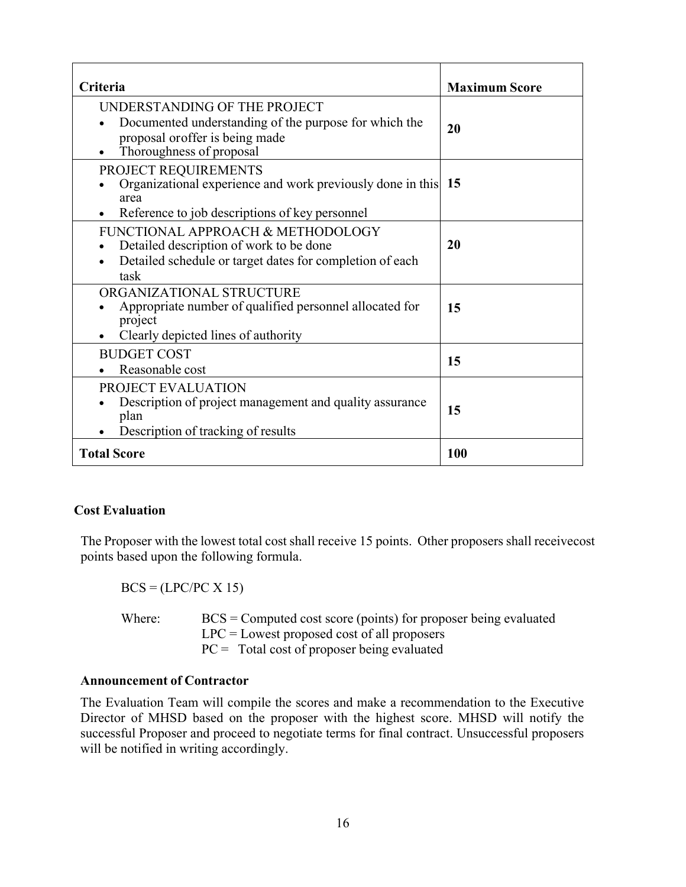| Criteria                                                                                                                                                      | <b>Maximum Score</b> |
|---------------------------------------------------------------------------------------------------------------------------------------------------------------|----------------------|
| UNDERSTANDING OF THE PROJECT<br>Documented understanding of the purpose for which the<br>proposal or offer is being made<br>Thoroughness of proposal          | 20                   |
| PROJECT REQUIREMENTS<br>Organizational experience and work previously done in this 15<br>area<br>Reference to job descriptions of key personnel               |                      |
| FUNCTIONAL APPROACH & METHODOLOGY<br>Detailed description of work to be done<br>Detailed schedule or target dates for completion of each<br>$\bullet$<br>task | 20                   |
| ORGANIZATIONAL STRUCTURE<br>Appropriate number of qualified personnel allocated for<br>project<br>Clearly depicted lines of authority                         | 15                   |
| <b>BUDGET COST</b><br>Reasonable cost                                                                                                                         | 15                   |
| PROJECT EVALUATION<br>Description of project management and quality assurance<br>plan<br>Description of tracking of results                                   | 15                   |
| <b>Total Score</b>                                                                                                                                            | 100                  |

## **Cost Evaluation**

The Proposer with the lowest total cost shall receive 15 points. Other proposers shall receivecost points based upon the following formula.

 $BCS = (LPC/PC X 15)$ 

| Where: | $BCS =$ Computed cost score (points) for proposer being evaluated |
|--------|-------------------------------------------------------------------|
|        | $LPC =$ Lowest proposed cost of all proposers                     |
|        | $PC =$ Total cost of proposer being evaluated                     |

### **Announcement of Contractor**

The Evaluation Team will compile the scores and make a recommendation to the Executive Director of MHSD based on the proposer with the highest score. MHSD will notify the successful Proposer and proceed to negotiate terms for final contract. Unsuccessful proposers will be notified in writing accordingly.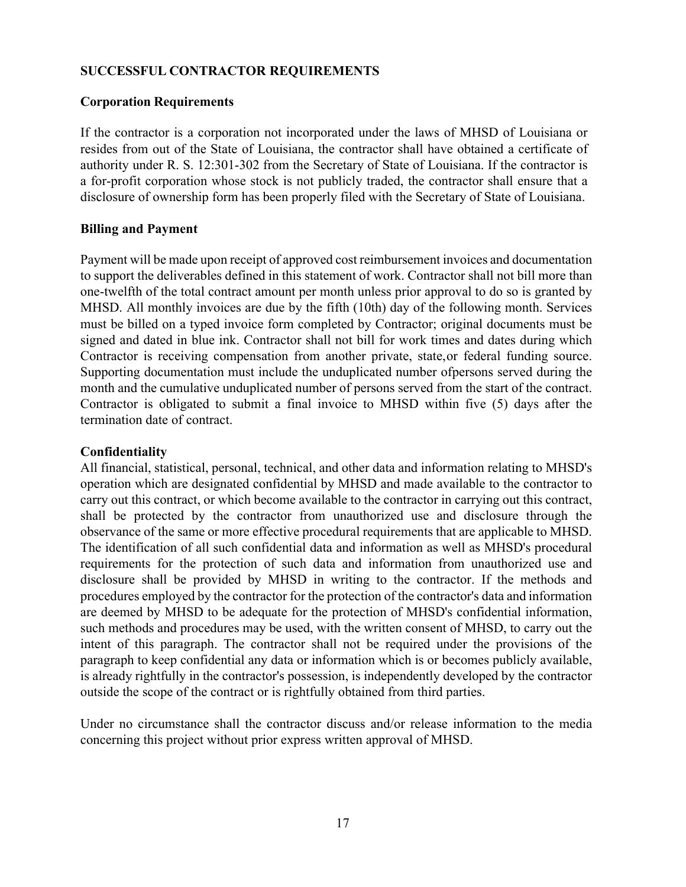## **SUCCESSFUL CONTRACTOR REQUIREMENTS**

### **Corporation Requirements**

If the contractor is a corporation not incorporated under the laws of MHSD of Louisiana or resides from out of the State of Louisiana, the contractor shall have obtained a certificate of authority under R. S. 12:301-302 from the Secretary of State of Louisiana. If the contractor is a for-profit corporation whose stock is not publicly traded, the contractor shall ensure that a disclosure of ownership form has been properly filed with the Secretary of State of Louisiana.

### **Billing and Payment**

Payment will be made upon receipt of approved cost reimbursement invoices and documentation to support the deliverables defined in this statement of work. Contractor shall not bill more than one-twelfth of the total contract amount per month unless prior approval to do so is granted by MHSD. All monthly invoices are due by the fifth (10th) day of the following month. Services must be billed on a typed invoice form completed by Contractor; original documents must be signed and dated in blue ink. Contractor shall not bill for work times and dates during which Contractor is receiving compensation from another private, state,or federal funding source. Supporting documentation must include the unduplicated number ofpersons served during the month and the cumulative unduplicated number of persons served from the start of the contract. Contractor is obligated to submit a final invoice to MHSD within five (5) days after the termination date of contract.

### **Confidentiality**

All financial, statistical, personal, technical, and other data and information relating to MHSD's operation which are designated confidential by MHSD and made available to the contractor to carry out this contract, or which become available to the contractor in carrying out this contract, shall be protected by the contractor from unauthorized use and disclosure through the observance of the same or more effective procedural requirements that are applicable to MHSD. The identification of all such confidential data and information as well as MHSD's procedural requirements for the protection of such data and information from unauthorized use and disclosure shall be provided by MHSD in writing to the contractor. If the methods and procedures employed by the contractor for the protection of the contractor's data and information are deemed by MHSD to be adequate for the protection of MHSD's confidential information, such methods and procedures may be used, with the written consent of MHSD, to carry out the intent of this paragraph. The contractor shall not be required under the provisions of the paragraph to keep confidential any data or information which is or becomes publicly available, is already rightfully in the contractor's possession, is independently developed by the contractor outside the scope of the contract or is rightfully obtained from third parties.

Under no circumstance shall the contractor discuss and/or release information to the media concerning this project without prior express written approval of MHSD.